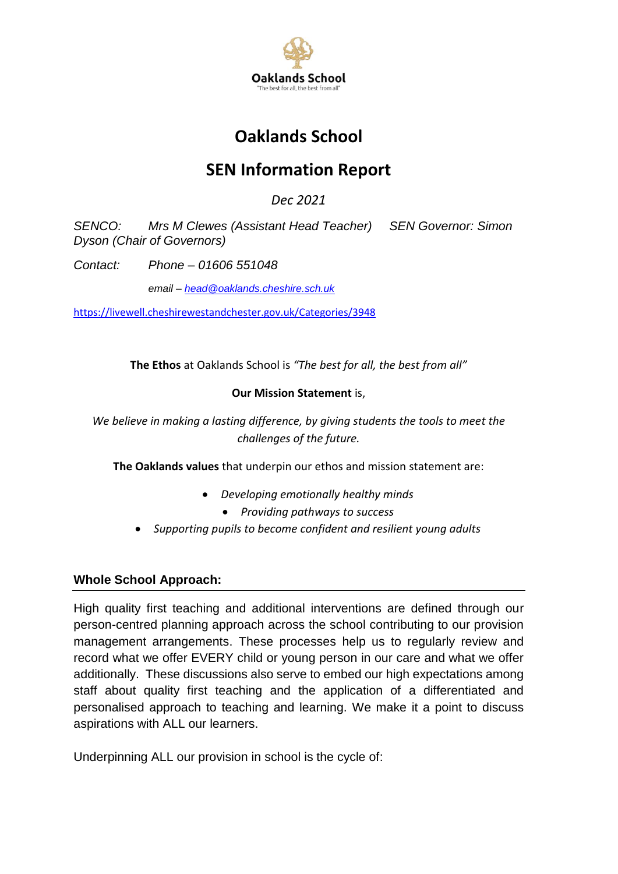

# **Oaklands School**

# **SEN Information Report**

*Dec 2021*

*SENCO: Mrs M Clewes (Assistant Head Teacher) SEN Governor: Simon Dyson (Chair of Governors)*

*Contact: Phone – 01606 551048*

*email – [head@oaklands.cheshire.sch.uk](mailto:head@oaklands.cheshire.sch.uk)*

<https://livewell.cheshirewestandchester.gov.uk/Categories/3948>

**The Ethos** at Oaklands School is *"The best for all, the best from all"*

# **Our Mission Statement** is,

*We believe in making a lasting difference, by giving students the tools to meet the challenges of the future.*

**The Oaklands values** that underpin our ethos and mission statement are:

- *Developing emotionally healthy minds*
	- *Providing pathways to success*
- *Supporting pupils to become confident and resilient young adults*

# **Whole School Approach:**

High quality first teaching and additional interventions are defined through our person-centred planning approach across the school contributing to our provision management arrangements. These processes help us to regularly review and record what we offer EVERY child or young person in our care and what we offer additionally. These discussions also serve to embed our high expectations among staff about quality first teaching and the application of a differentiated and personalised approach to teaching and learning. We make it a point to discuss aspirations with ALL our learners.

Underpinning ALL our provision in school is the cycle of: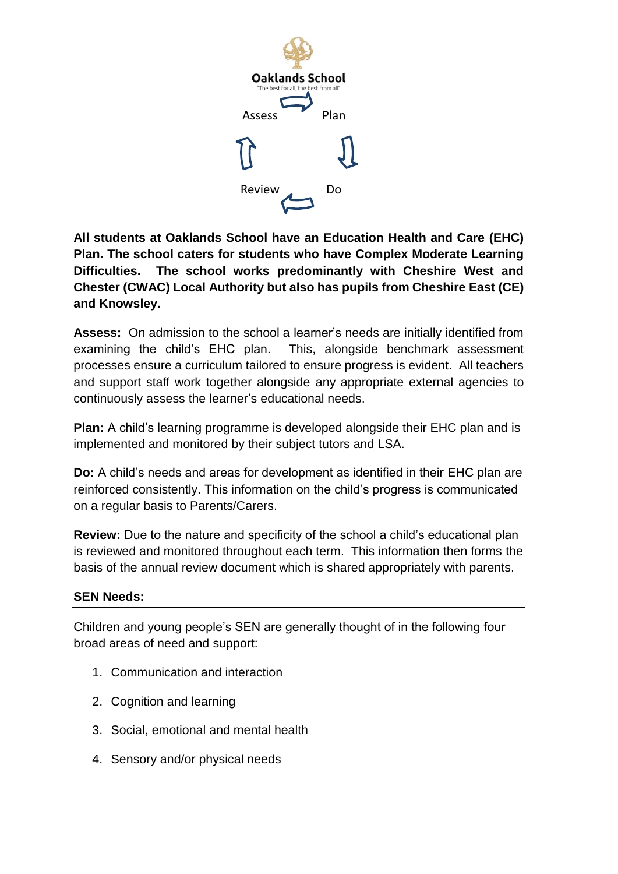

**All students at Oaklands School have an Education Health and Care (EHC) Plan. The school caters for students who have Complex Moderate Learning Difficulties. The school works predominantly with Cheshire West and Chester (CWAC) Local Authority but also has pupils from Cheshire East (CE) and Knowsley.** 

**Assess:** On admission to the school a learner's needs are initially identified from examining the child's EHC plan. This, alongside benchmark assessment processes ensure a curriculum tailored to ensure progress is evident. All teachers and support staff work together alongside any appropriate external agencies to continuously assess the learner's educational needs.

**Plan:** A child's learning programme is developed alongside their EHC plan and is implemented and monitored by their subject tutors and LSA.

**Do:** A child's needs and areas for development as identified in their EHC plan are reinforced consistently. This information on the child's progress is communicated on a regular basis to Parents/Carers.

**Review:** Due to the nature and specificity of the school a child's educational plan is reviewed and monitored throughout each term. This information then forms the basis of the annual review document which is shared appropriately with parents.

# **SEN Needs:**

Children and young people's SEN are generally thought of in the following four broad areas of need and support:

- 1. Communication and interaction
- 2. Cognition and learning
- 3. Social, emotional and mental health
- 4. Sensory and/or physical needs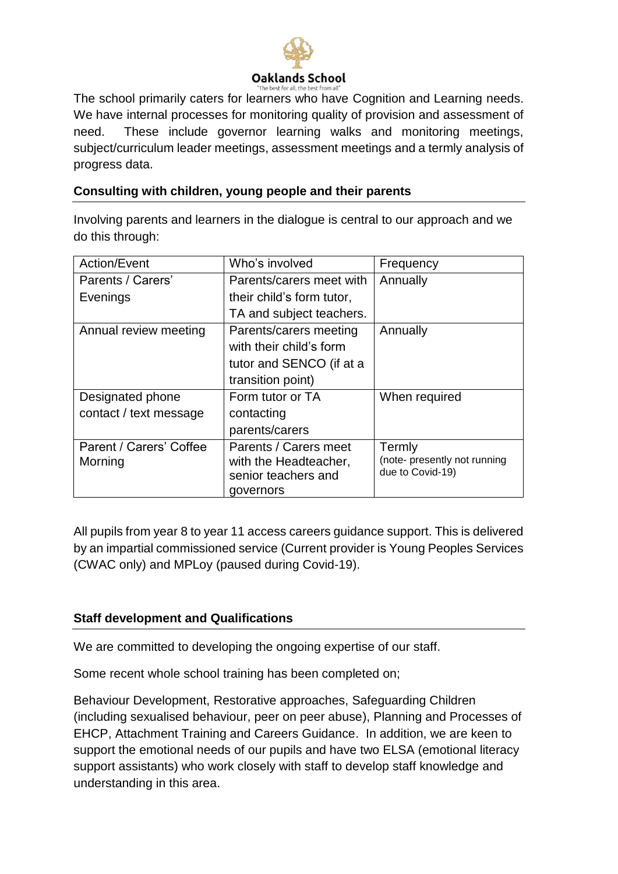

The school primarily caters for learners who have Cognition and Learning needs. We have internal processes for monitoring quality of provision and assessment of need.These include governor learning walks and monitoring meetings, subject/curriculum leader meetings, assessment meetings and a termly analysis of progress data.

# **Consulting with children, young people and their parents**

Involving parents and learners in the dialogue is central to our approach and we do this through:

| Action/Event            | Who's involved            | Frequency                                        |
|-------------------------|---------------------------|--------------------------------------------------|
| Parents / Carers'       | Parents/carers meet with  | Annually                                         |
| Evenings                | their child's form tutor, |                                                  |
|                         | TA and subject teachers.  |                                                  |
| Annual review meeting   | Parents/carers meeting    | Annually                                         |
|                         | with their child's form   |                                                  |
|                         | tutor and SENCO (if at a  |                                                  |
|                         | transition point)         |                                                  |
| Designated phone        | Form tutor or TA          | When required                                    |
| contact / text message  | contacting                |                                                  |
|                         | parents/carers            |                                                  |
| Parent / Carers' Coffee | Parents / Carers meet     | Termly                                           |
| Morning                 | with the Headteacher,     | (note- presently not running<br>due to Covid-19) |
|                         | senior teachers and       |                                                  |
|                         | governors                 |                                                  |

All pupils from year 8 to year 11 access careers guidance support. This is delivered by an impartial commissioned service (Current provider is Young Peoples Services (CWAC only) and MPLoy (paused during Covid-19).

## **Staff development and Qualifications**

We are committed to developing the ongoing expertise of our staff.

Some recent whole school training has been completed on;

Behaviour Development, Restorative approaches, Safeguarding Children (including sexualised behaviour, peer on peer abuse), Planning and Processes of EHCP, Attachment Training and Careers Guidance. In addition, we are keen to support the emotional needs of our pupils and have two ELSA (emotional literacy support assistants) who work closely with staff to develop staff knowledge and understanding in this area.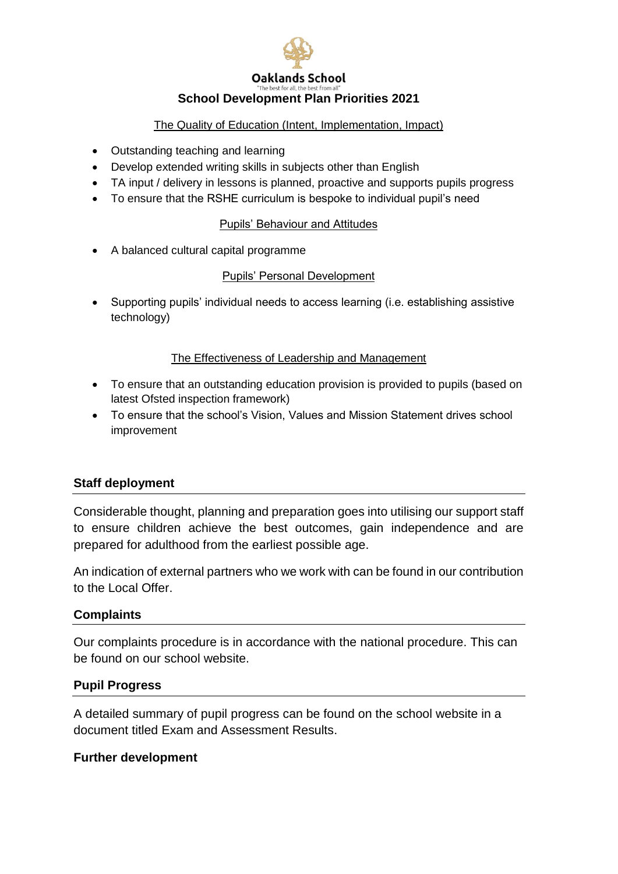

## **School Development Plan Priorities 2021**

#### The Quality of Education (Intent, Implementation, Impact)

- Outstanding teaching and learning
- Develop extended writing skills in subjects other than English
- TA input / delivery in lessons is planned, proactive and supports pupils progress
- To ensure that the RSHE curriculum is bespoke to individual pupil's need

#### Pupils' Behaviour and Attitudes

A balanced cultural capital programme

# Pupils' Personal Development

 Supporting pupils' individual needs to access learning (i.e. establishing assistive technology)

## The Effectiveness of Leadership and Management

- To ensure that an outstanding education provision is provided to pupils (based on latest Ofsted inspection framework)
- To ensure that the school's Vision, Values and Mission Statement drives school improvement

## **Staff deployment**

Considerable thought, planning and preparation goes into utilising our support staff to ensure children achieve the best outcomes, gain independence and are prepared for adulthood from the earliest possible age.

An indication of external partners who we work with can be found in our contribution to the Local Offer.

## **Complaints**

Our complaints procedure is in accordance with the national procedure. This can be found on our school website.

## **Pupil Progress**

A detailed summary of pupil progress can be found on the school website in a document titled Exam and Assessment Results.

## **Further development**